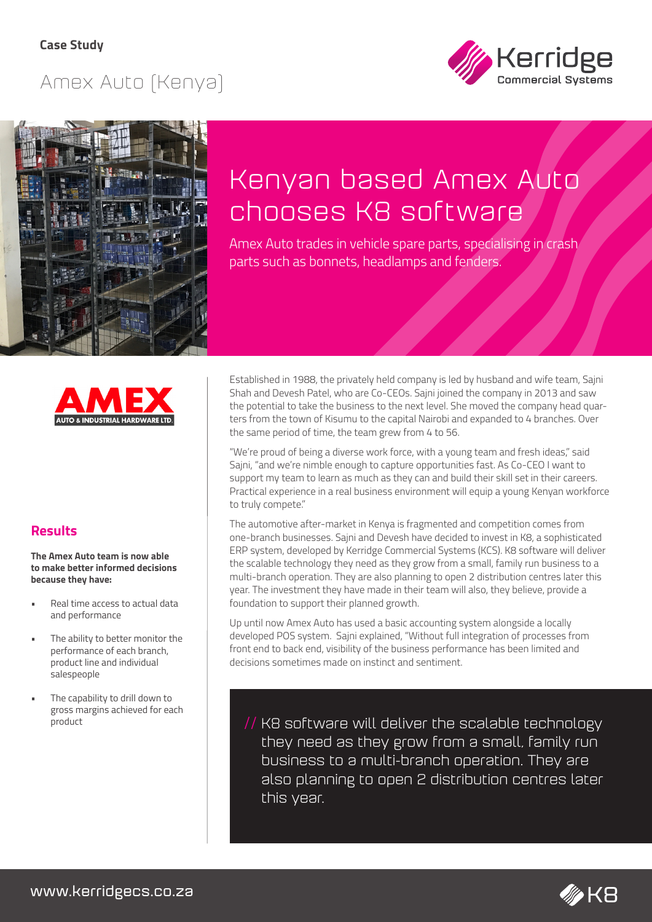## Amex Auto (Kenya)





# Kenyan based Amex Auto chooses K8 software

Amex Auto trades in vehicle spare parts, specialising in crash parts such as bonnets, headlamps and fenders.



### **Results**

**The Amex Auto team is now able to make better informed decisions because they have:**

- Real time access to actual data and performance
- The ability to better monitor the performance of each branch, product line and individual salespeople
- The capability to drill down to gross margins achieved for each

Established in 1988, the privately held company is led by husband and wife team, Sajni Shah and Devesh Patel, who are Co-CEOs. Sajni joined the company in 2013 and saw the potential to take the business to the next level. She moved the company head quarters from the town of Kisumu to the capital Nairobi and expanded to 4 branches. Over the same period of time, the team grew from 4 to 56.

"We're proud of being a diverse work force, with a young team and fresh ideas," said Sajni, "and we're nimble enough to capture opportunities fast. As Co-CEO I want to support my team to learn as much as they can and build their skill set in their careers. Practical experience in a real business environment will equip a young Kenyan workforce to truly compete."

The automotive after-market in Kenya is fragmented and competition comes from one-branch businesses. Sajni and Devesh have decided to invest in K8, a sophisticated ERP system, developed by Kerridge Commercial Systems (KCS). K8 software will deliver the scalable technology they need as they grow from a small, family run business to a multi-branch operation. They are also planning to open 2 distribution centres later this year. The investment they have made in their team will also, they believe, provide a foundation to support their planned growth.

Up until now Amex Auto has used a basic accounting system alongside a locally developed POS system. Sajni explained, "Without full integration of processes from front end to back end, visibility of the business performance has been limited and decisions sometimes made on instinct and sentiment.

 $\frac{1}{\frac{1}{\sqrt{1 + \frac{1}{\sqrt{1 + \frac{1}{\sqrt{1 + \frac{1}{\sqrt{1 + \frac{1}{\sqrt{1 + \frac{1}{\sqrt{1 + \frac{1}{\sqrt{1 + \frac{1}{\sqrt{1 + \frac{1}{\sqrt{1 + \frac{1}{\sqrt{1 + \frac{1}{\sqrt{1 + \frac{1}{\sqrt{1 + \frac{1}{\sqrt{1 + \frac{1}{\sqrt{1 + \frac{1}{\sqrt{1 + \frac{1}{\sqrt{1 + \frac{1}{\sqrt{1 + \frac{1}{\sqrt{1 + \frac{1}{\sqrt{1 + \frac{1}{\sqrt{1 + \frac{1}{\sqrt{1 + \frac{1}{$ they need as they grow from a small, family run business to a multi-branch operation. They are also planning to open 2 distribution centres later this year.